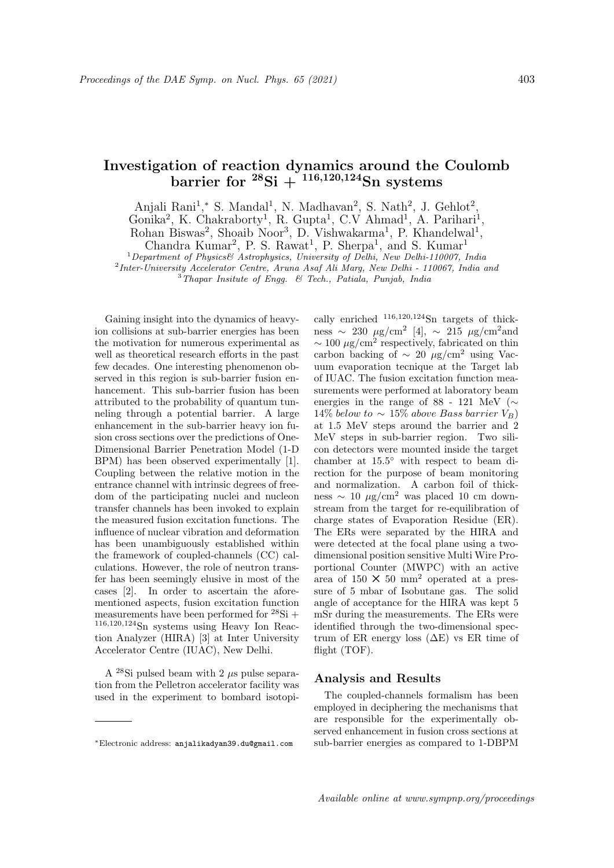## Investigation of reaction dynamics around the Coulomb barrier for  $^{28}\text{Si} + ^{116,120,124}\text{Sn}$  systems

Anjali Rani<sup>1</sup>,\* S. Mandal<sup>1</sup>, N. Madhavan<sup>2</sup>, S. Nath<sup>2</sup>, J. Gehlot<sup>2</sup>, Gonika<sup>2</sup>, K. Chakraborty<sup>1</sup>, R. Gupta<sup>1</sup>, C.V Ahmad<sup>1</sup>, A. Parihari<sup>1</sup>,

Rohan Biswas<sup>2</sup>, Shoaib Noor<sup>3</sup>, D. Vishwakarma<sup>1</sup>, P. Khandelwal<sup>1</sup>,

Chandra Kumar<sup>2</sup>, P. S. Rawat<sup>1</sup>, P. Sherpa<sup>1</sup>, and S. Kumar<sup>1</sup>  $1$ Department of Physics& Astrophysics, University of Delhi, New Delhi-110007, India

<sup>2</sup> Inter-University Accelerator Centre, Aruna Asaf Ali Marg, New Delhi - 110067, India ana

 $3$ Thapar Insitute of Engg.  $6$  Tech., Patiala, Punjab, India

Gaining insight into the dynamics of heavyion collisions at sub-barrier energies has been the motivation for numerous experimental as well as theoretical research efforts in the past few decades. One interesting phenomenon observed in this region is sub-barrier fusion enhancement. This sub-barrier fusion has been attributed to the probability of quantum tunneling through a potential barrier. A large enhancement in the sub-barrier heavy ion fusion cross sections over the predictions of One-Dimensional Barrier Penetration Model (1-D BPM) has been observed experimentally [1]. Coupling between the relative motion in the entrance channel with intrinsic degrees of freedom of the participating nuclei and nucleon transfer channels has been invoked to explain the measured fusion excitation functions. The influence of nuclear vibration and deformation has been unambiguously established within the framework of coupled-channels (CC) calculations. However, the role of neutron transfer has been seemingly elusive in most of the cases [2]. In order to ascertain the aforementioned aspects, fusion excitation function measurements have been performed for  $^{28}\text{Si} +$ <sup>116</sup>,120,<sup>124</sup>Sn systems using Heavy Ion Reaction Analyzer (HIRA) [3] at Inter University Accelerator Centre (IUAC), New Delhi.

A <sup>28</sup>Si pulsed beam with 2  $\mu$ s pulse separation from the Pelletron accelerator facility was used in the experiment to bombard isotopically enriched  $116,120,124$ Sn targets of thickness ~ 230  $\mu$ g/cm<sup>2</sup> [4], ~ 215  $\mu$ g/cm<sup>2</sup> and  $\sim 100 \ \mu g/cm^2$  respectively, fabricated on thin carbon backing of  $\sim$  20  $\mu$ g/cm<sup>2</sup> using Vacuum evaporation tecnique at the Target lab of IUAC. The fusion excitation function measurements were performed at laboratory beam energies in the range of 88 - 121 MeV ( $\sim$  $14\%$  below to  $\sim 15\%$  above Bass barrier  $V_B$ ) at 1.5 MeV steps around the barrier and 2 MeV steps in sub-barrier region. Two silicon detectors were mounted inside the target chamber at 15.5◦ with respect to beam direction for the purpose of beam monitoring and normalization. A carbon foil of thickness  $\sim 10 \mu g/cm^2$  was placed 10 cm downstream from the target for re-equilibration of charge states of Evaporation Residue (ER). The ERs were separated by the HIRA and were detected at the focal plane using a twodimensional position sensitive Multi Wire Proportional Counter (MWPC) with an active area of  $150 \times 50$  mm<sup>2</sup> operated at a pressure of 5 mbar of Isobutane gas. The solid angle of acceptance for the HIRA was kept 5 mSr during the measurements. The ERs were identified through the two-dimensional spectrum of ER energy loss  $(\Delta E)$  vs ER time of flight (TOF).

## Analysis and Results

The coupled-channels formalism has been employed in deciphering the mechanisms that are responsible for the experimentally observed enhancement in fusion cross sections at sub-barrier energies as compared to 1-DBPM

<sup>∗</sup>Electronic address: anjalikadyan39.du@gmail.com